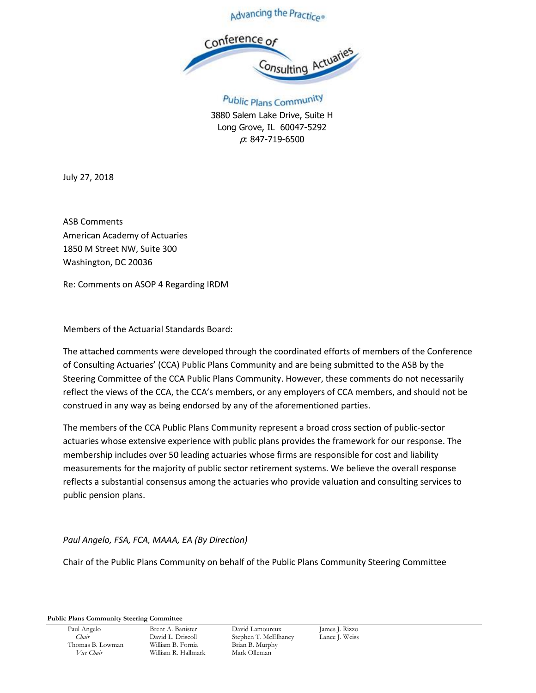



Public Plans Community 3880 Salem Lake Drive, Suite H Long Grove, IL 60047-5292 p: 847-719-6500

July 27, 2018

ASB Comments American Academy of Actuaries 1850 M Street NW, Suite 300 Washington, DC 20036

Re: Comments on ASOP 4 Regarding IRDM

Members of the Actuarial Standards Board:

The attached comments were developed through the coordinated efforts of members of the Conference of Consulting Actuaries' (CCA) Public Plans Community and are being submitted to the ASB by the Steering Committee of the CCA Public Plans Community. However, these comments do not necessarily reflect the views of the CCA, the CCA's members, or any employers of CCA members, and should not be construed in any way as being endorsed by any of the aforementioned parties.

The members of the CCA Public Plans Community represent a broad cross section of public‐sector actuaries whose extensive experience with public plans provides the framework for our response. The membership includes over 50 leading actuaries whose firms are responsible for cost and liability measurements for the majority of public sector retirement systems. We believe the overall response reflects a substantial consensus among the actuaries who provide valuation and consulting services to public pension plans.

*Paul Angelo, FSA, FCA, MAAA, EA (By Direction)*

Chair of the Public Plans Community on behalf of the Public Plans Community Steering Committee

**Public Plans Community Steering Committee**

Thomas B. Lowman *Vice Chair* William R. Hallmark Mark Olleman

Paul Angelo Brent A. Banister David Lamoureux James J. Rizzo *Chair* David L. Driscoll Stephen T. McElhaney Lance J. Weiss<br>
1991 - William B. Fornia B. Brian B. Murphy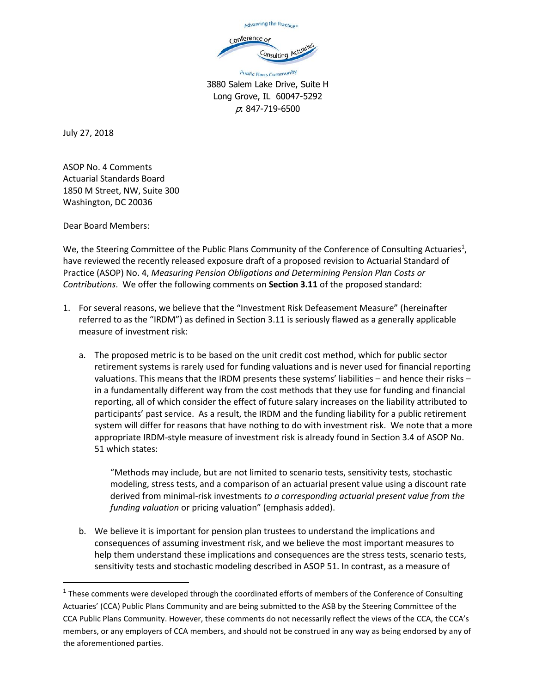

Public Plans Community 3880 Salem Lake Drive, Suite H Long Grove, IL 60047-5292 p: 847-719-6500

July 27, 2018

ASOP No. 4 Comments Actuarial Standards Board 1850 M Street, NW, Suite 300 Washington, DC 20036

Dear Board Members:

l

We, the Steering Committee of the Public Plans Community of the Conference of Consulting Actuaries<sup>1</sup>, have reviewed the recently released exposure draft of a proposed revision to Actuarial Standard of Practice (ASOP) No. 4, *Measuring Pension Obligations and Determining Pension Plan Costs or Contributions*. We offer the following comments on **Section 3.11** of the proposed standard:

- 1. For several reasons, we believe that the "Investment Risk Defeasement Measure" (hereinafter referred to as the "IRDM") as defined in Section 3.11 is seriously flawed as a generally applicable measure of investment risk:
	- a. The proposed metric is to be based on the unit credit cost method, which for public sector retirement systems is rarely used for funding valuations and is never used for financial reporting valuations. This means that the IRDM presents these systems' liabilities – and hence their risks – in a fundamentally different way from the cost methods that they use for funding and financial reporting, all of which consider the effect of future salary increases on the liability attributed to participants' past service. As a result, the IRDM and the funding liability for a public retirement system will differ for reasons that have nothing to do with investment risk. We note that a more appropriate IRDM-style measure of investment risk is already found in Section 3.4 of ASOP No. 51 which states:

"Methods may include, but are not limited to scenario tests, sensitivity tests, stochastic modeling, stress tests, and a comparison of an actuarial present value using a discount rate derived from minimal-risk investments *to a corresponding actuarial present value from the funding valuation* or pricing valuation" (emphasis added).

b. We believe it is important for pension plan trustees to understand the implications and consequences of assuming investment risk, and we believe the most important measures to help them understand these implications and consequences are the stress tests, scenario tests, sensitivity tests and stochastic modeling described in ASOP 51. In contrast, as a measure of

 $1$  These comments were developed through the coordinated efforts of members of the Conference of Consulting Actuaries' (CCA) Public Plans Community and are being submitted to the ASB by the Steering Committee of the CCA Public Plans Community. However, these comments do not necessarily reflect the views of the CCA, the CCA's members, or any employers of CCA members, and should not be construed in any way as being endorsed by any of the aforementioned parties.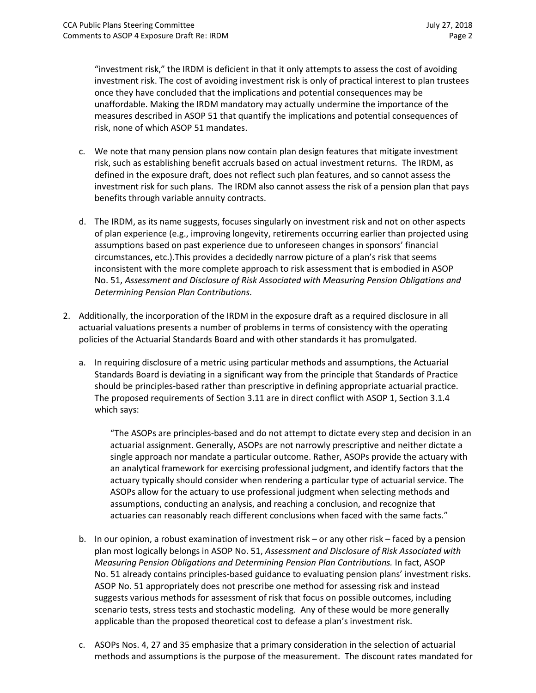"investment risk," the IRDM is deficient in that it only attempts to assess the cost of avoiding investment risk. The cost of avoiding investment risk is only of practical interest to plan trustees once they have concluded that the implications and potential consequences may be unaffordable. Making the IRDM mandatory may actually undermine the importance of the measures described in ASOP 51 that quantify the implications and potential consequences of risk, none of which ASOP 51 mandates.

- c. We note that many pension plans now contain plan design features that mitigate investment risk, such as establishing benefit accruals based on actual investment returns. The IRDM, as defined in the exposure draft, does not reflect such plan features, and so cannot assess the investment risk for such plans. The IRDM also cannot assess the risk of a pension plan that pays benefits through variable annuity contracts.
- d. The IRDM, as its name suggests, focuses singularly on investment risk and not on other aspects of plan experience (e.g., improving longevity, retirements occurring earlier than projected using assumptions based on past experience due to unforeseen changes in sponsors' financial circumstances, etc.).This provides a decidedly narrow picture of a plan's risk that seems inconsistent with the more complete approach to risk assessment that is embodied in ASOP No. 51, *Assessment and Disclosure of Risk Associated with Measuring Pension Obligations and Determining Pension Plan Contributions.*
- 2. Additionally, the incorporation of the IRDM in the exposure draft as a required disclosure in all actuarial valuations presents a number of problems in terms of consistency with the operating policies of the Actuarial Standards Board and with other standards it has promulgated.
	- a. In requiring disclosure of a metric using particular methods and assumptions, the Actuarial Standards Board is deviating in a significant way from the principle that Standards of Practice should be principles-based rather than prescriptive in defining appropriate actuarial practice. The proposed requirements of Section 3.11 are in direct conflict with ASOP 1, Section 3.1.4 which says:

"The ASOPs are principles-based and do not attempt to dictate every step and decision in an actuarial assignment. Generally, ASOPs are not narrowly prescriptive and neither dictate a single approach nor mandate a particular outcome. Rather, ASOPs provide the actuary with an analytical framework for exercising professional judgment, and identify factors that the actuary typically should consider when rendering a particular type of actuarial service. The ASOPs allow for the actuary to use professional judgment when selecting methods and assumptions, conducting an analysis, and reaching a conclusion, and recognize that actuaries can reasonably reach different conclusions when faced with the same facts."

- b. In our opinion, a robust examination of investment risk or any other risk faced by a pension plan most logically belongs in ASOP No. 51, *Assessment and Disclosure of Risk Associated with Measuring Pension Obligations and Determining Pension Plan Contributions.* In fact, ASOP No. 51 already contains principles-based guidance to evaluating pension plans' investment risks. ASOP No. 51 appropriately does not prescribe one method for assessing risk and instead suggests various methods for assessment of risk that focus on possible outcomes, including scenario tests, stress tests and stochastic modeling. Any of these would be more generally applicable than the proposed theoretical cost to defease a plan's investment risk.
- c. ASOPs Nos. 4, 27 and 35 emphasize that a primary consideration in the selection of actuarial methods and assumptions is the purpose of the measurement. The discount rates mandated for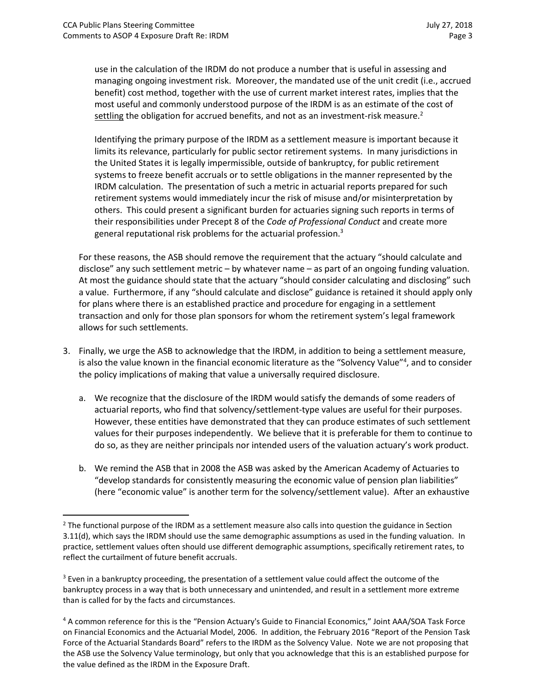$\overline{\phantom{a}}$ 

use in the calculation of the IRDM do not produce a number that is useful in assessing and managing ongoing investment risk. Moreover, the mandated use of the unit credit (i.e., accrued benefit) cost method, together with the use of current market interest rates, implies that the most useful and commonly understood purpose of the IRDM is as an estimate of the cost of settling the obligation for accrued benefits, and not as an investment-risk measure.<sup>2</sup>

Identifying the primary purpose of the IRDM as a settlement measure is important because it limits its relevance, particularly for public sector retirement systems. In many jurisdictions in the United States it is legally impermissible, outside of bankruptcy, for public retirement systems to freeze benefit accruals or to settle obligations in the manner represented by the IRDM calculation. The presentation of such a metric in actuarial reports prepared for such retirement systems would immediately incur the risk of misuse and/or misinterpretation by others. This could present a significant burden for actuaries signing such reports in terms of their responsibilities under Precept 8 of the *Code of Professional Conduct* and create more general reputational risk problems for the actuarial profession.<sup>3</sup>

For these reasons, the ASB should remove the requirement that the actuary "should calculate and disclose" any such settlement metric – by whatever name – as part of an ongoing funding valuation. At most the guidance should state that the actuary "should consider calculating and disclosing" such a value. Furthermore, if any "should calculate and disclose" guidance is retained it should apply only for plans where there is an established practice and procedure for engaging in a settlement transaction and only for those plan sponsors for whom the retirement system's legal framework allows for such settlements.

- 3. Finally, we urge the ASB to acknowledge that the IRDM, in addition to being a settlement measure, is also the value known in the financial economic literature as the "Solvency Value"<sup>4</sup>, and to consider the policy implications of making that value a universally required disclosure.
	- a. We recognize that the disclosure of the IRDM would satisfy the demands of some readers of actuarial reports, who find that solvency/settlement-type values are useful for their purposes. However, these entities have demonstrated that they can produce estimates of such settlement values for their purposes independently. We believe that it is preferable for them to continue to do so, as they are neither principals nor intended users of the valuation actuary's work product.
	- b. We remind the ASB that in 2008 the ASB was asked by the American Academy of Actuaries to "develop standards for consistently measuring the economic value of pension plan liabilities" (here "economic value" is another term for the solvency/settlement value). After an exhaustive

<sup>&</sup>lt;sup>2</sup> The functional purpose of the IRDM as a settlement measure also calls into question the guidance in Section 3.11(d), which says the IRDM should use the same demographic assumptions as used in the funding valuation. In practice, settlement values often should use different demographic assumptions, specifically retirement rates, to reflect the curtailment of future benefit accruals.

<sup>&</sup>lt;sup>3</sup> Even in a bankruptcy proceeding, the presentation of a settlement value could affect the outcome of the bankruptcy process in a way that is both unnecessary and unintended, and result in a settlement more extreme than is called for by the facts and circumstances.

<sup>4</sup> A common reference for this is the "Pension Actuary's Guide to Financial Economics," Joint AAA/SOA Task Force on Financial Economics and the Actuarial Model, 2006. In addition, the February 2016 "Report of the Pension Task Force of the Actuarial Standards Board" refers to the IRDM as the Solvency Value. Note we are not proposing that the ASB use the Solvency Value terminology, but only that you acknowledge that this is an established purpose for the value defined as the IRDM in the Exposure Draft.